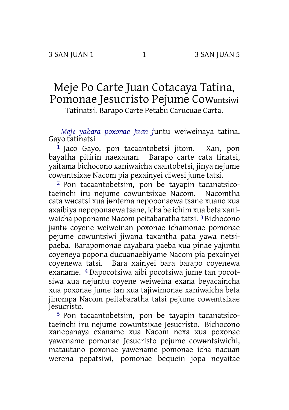## Meje Po Carte Juan Cotacaya Tatina, Pomonae Jesucristo Pejume Cowʉntsiwi

Tatinatsi. Barapo Carte Petabʉ Carucuae Carta.

*Meje yabara poxonae Juan j*ʉntʉ weiweinaya tatina, Gayo tatinatsi

 $1$  Jaco Gayo, pon tacaantobetsi jitom. Xan, pon bayatha pitirin naexanan. Barapo carte cata tinatsi, yaitama bichocono xaniwaicha caantobetsi, jinya nejume cowʉntsixae Nacom pia pexainyei diwesi jume tatsi.

2 Pon tacaantobetsim, pon be tayapin tacanatsicotaeinchi irʉ nejume cowʉntsixae Nacom. Nacomtha cata wʉcatsi xua jʉntema nepoponaewa tsane xuano xua axaibiya nepoponaewa tsane, icha be ichim xua beta xaniwaicha poponame Nacom peitabaratha tatsi. 3 Bichocono jʉntʉ coyene weiweinan poxonae ichamonae pomonae pejume cowʉntsiwi jiwana taxantha pata yawa netsipaeba. Barapomonae cayabara paeba xua pinae yajʉntʉ coyeneya popona ducuanaebiyame Nacom pia pexainyei coyenewa tatsi. Bara xainyei bara barapo coyenewa exaname. 4 Dapocotsiwa aibi pocotsiwa jume tan pocotsiwa xua nejʉntʉ coyene weiweina exana beyacaincha xua poxonae jume tan xua tajiwimonae xaniwaicha beta jinompa Nacom peitabaratha tatsi pejume cowʉntsixae Jesucristo.

5 Pon tacaantobetsim, pon be tayapin tacanatsicotaeinchi irʉ nejume cowʉntsixae Jesucristo. Bichocono xanepanaya exaname xua Nacom nexa xua poxonae yawename pomonae Jesucristo pejume cowʉntsiwichi, mataʉtano poxonae yawename pomonae icha nacuan werena pepatsiwi, pomonae bequein jopa neyaitae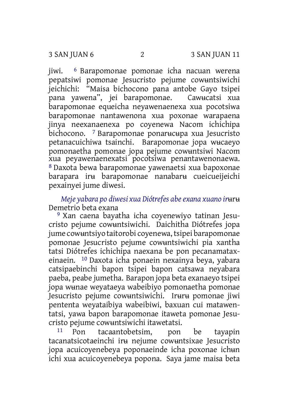jiwi. 6 Barapomonae pomonae icha nacuan werena pepatsiwi pomonae Jesucristo pejume cowuntsiwichi<br>jeichichi: "Maisa bichocono pana antobe Gavo tsipei "Maisa bichocono pana antobe Gayo tsipei pana yawena", jei barapomonae. Cawʉcatsi xua barapomonae equeicha neyawenaenexa xua pocotsiwa barapomonae nantawenona xua poxonae warapaena jinya neexanaenexa po coyenewa Nacom ichichipa bichocono. 7 Barapomonae ponarʉcʉpa xua Jesucristo petanacuichiwa tsainchi. Barapomonae jopa wʉcaeyo pomonaetha pomonae jopa pejume cowʉntsiwi Nacom xua peyawenaenexatsi pocotsiwa penantawenonaewa. 8 Daxota bewa barapomonae yawenaetsi xua bapoxonae barapara irʉ barapomonae nanabarʉ cueicueijeichi pexainyei jume diwesi.

*Meje yabara po diwesi xua Diótrefes abeexana xuano ir*ʉrʉ Demetrio beta exana

9 Xan caena bayatha icha coyenewiyo tatinan Jesucristo pejume cowʉntsiwichi. Daichitha Diótrefes jopa jume cowuntsiyo taitorobi coyenewa, tsipei barapomonae pomonae Jesucristo pejume cowʉntsiwichi pia xantha tatsi Diótrefes ichichipa naexana be pon pecanamataxeinaein. 10 Daxota icha ponaein nexainya beya, yabara catsipaebinchi bapon tsipei bapon catsawa neyabara paeba, peabe jumetha. Barapon jopa beta exanaeyo tsipei jopa wʉnae weyataeya wabeibiyo pomonaetha pomonae Jesucristo pejume cowʉntsiwichi. Irʉrʉ pomonae jiwi pententa weyataibiya wabeibiwi, baxuan cui matawentatsi, yawa bapon barapomonae itaweta pomonae Jesucristo pejume cowʉntsiwichi itawetatsi.

11 Pon tacaantobetsim, pon be tayapin tacanatsicotaeinchi irʉ nejume cowʉntsixae Jesucristo jopa acuicoyenebeya poponaeinde icha poxonae ichʉn ichi xua acuicoyenebeya popona. Saya jame maisa beta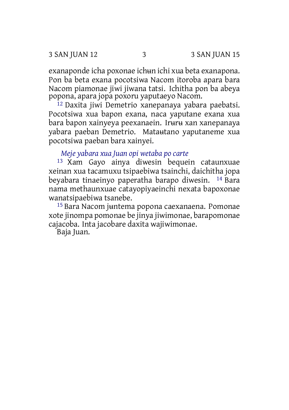exanaponde icha poxonae ichʉn ichi xua beta exanapona. Pon ba beta exana pocotsiwa Nacom itoroba apara bara Nacom piamonae jiwi jiwana tatsi. Ichitha pon ba abeya popona, apara jopa poxoru yaputaeyo Nacom.

12 Daxita jiwi Demetrio xanepanaya yabara paebatsi. Pocotsiwa xua bapon exana, naca yaputane exana xua bara bapon xainyeya peexanaein. Irʉrʉ xan xanepanaya yabara paeban Demetrio. Mataʉtano yaputaneme xua pocotsiwa paeban bara xainyei.

*Meje yabara xua Juan opi wetaba po carte*

13 Xam Gayo ainya diwesin bequein cataunxuae xeinan xua tacamuxu tsipaebiwa tsainchi, daichitha jopa beyabara tinaeinyo paperatha barapo diwesin. 14 Bara nama methaunxuae catayopiyaeinchi nexata bapoxonae wanatsipaebiwa tsanebe.

15 Bara Nacom jʉntema popona caexanaena. Pomonae xote jinompa pomonae be jinya jiwimonae, barapomonae cajacoba. Inta jacobare daxita wajiwimonae.

Baja Juan.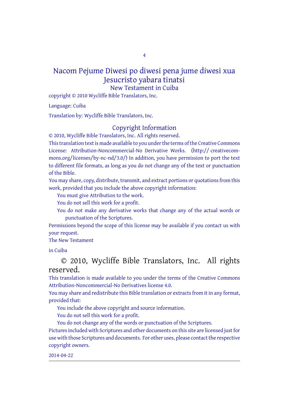4

## Nacom Pejume Diwesi po diwesi pena jume diwesi xua Jesucristo yabara tinatsi New Testament in Cuiba

copyright © 2010 Wycliffe Bible Translators, Inc.

Language: Cuiba

Translation by: Wycliffe Bible Translators, Inc.

## Copyright Information

© 2010, Wycliffe Bible Translators, Inc. All rights reserved.

This translation text is made available to you under the terms of the Creative [Commons](http://creativecommons.org/licenses/by-nc-nd/4.0/) License: [Attribution-Noncommercial-No](http://creativecommons.org/licenses/by-nc-nd/4.0/) Derivative Works. (http:// creativecommons.org/licenses/by-nc-nd/3.0/) In addition, you have permission to port the text to different file formats, as long as you do not change any of the text or punctuation of the Bible.

You may share, copy, distribute, transmit, and extract portions or quotations from this work, provided that you include the above copyright information:

You must give Attribution to the work.

You do not sell this work for a profit.

You do not make any derivative works that change any of the actual words or punctuation of the Scriptures.

Permissions beyond the scope of this license may be available if you contact us with your request.

The New Testament

in Cuiba

© 2010, Wycliffe Bible Translators, Inc. All rights reserved.

This translation is made available to you under the terms of the Creative Commons Attribution-Noncommercial-No Derivatives license 4.0.

You may share and redistribute this Bible translation or extracts from it in any format, provided that:

You include the above copyright and source information.

You do not sell this work for a profit.

You do not change any of the words or punctuation of the Scriptures. Pictures included with Scriptures and other documents on this site are licensed just for use with those Scriptures and documents. For other uses, please contact the respective copyright owners.

2014-04-22